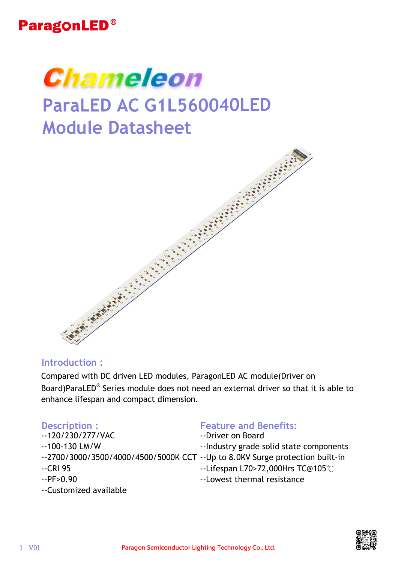



# **ParaLED AC G1L560040LED Module Datasheet**



#### **Introduction :**

Compared with DC driven LED modules, ParagonLED AC module(Driver on Board)ParaLED® Series module does not need an external driver so that it is able to enhance lifespan and compact dimension.

- --120/230/277/VAC
- --100-130 LM/W
- 
- --CRI 95
- $-PP > 0.90$
- --Customized available

#### **Description : Feature and Benefits:**

- --Driver on Board
- --Industry grade solid state components
- --2700/3000/3500/4000/4500/5000K CCT --Up to 8.0KV Surge protection built-in
	- --Lifespan L70>72,000Hrs TC@105℃
	- --Lowest thermal resistance

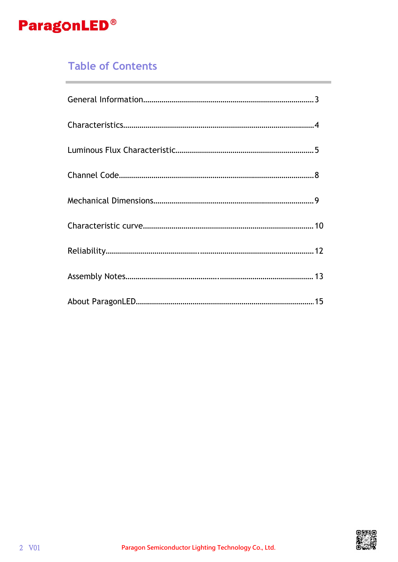

## **Table of Contents**

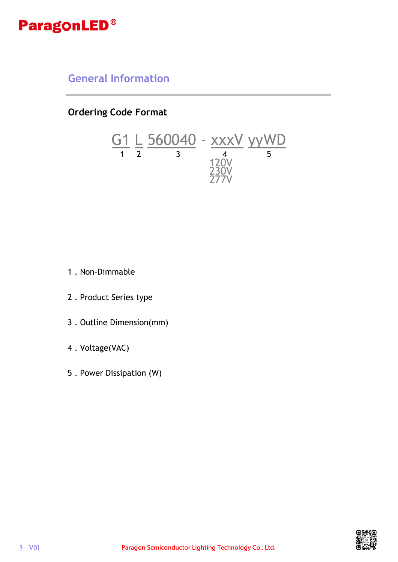

### **General Information**

**Ordering Code Format**



- 1 . Non-Dimmable
- 2 . Product Series type
- 3 . Outline Dimension(mm)
- 4 . Voltage(VAC)
- 5 . Power Dissipation (W)

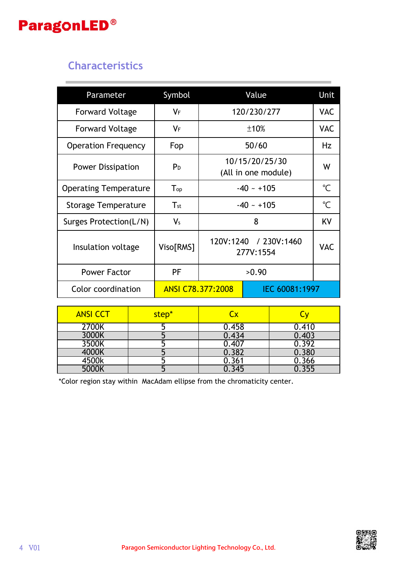## **Characteristics**

| Parameter                    | Symbol                     |                                       | Value          | <b>Unit</b>  |
|------------------------------|----------------------------|---------------------------------------|----------------|--------------|
| <b>Forward Voltage</b>       | $V_F$                      |                                       | 120/230/277    | <b>VAC</b>   |
| <b>Forward Voltage</b>       | VF                         |                                       | ±10%           | <b>VAC</b>   |
| <b>Operation Frequency</b>   | Fop                        |                                       | 50/60          | Hz           |
| <b>Power Dissipation</b>     | P <sub>D</sub>             | 10/15/20/25/30<br>(All in one module) |                | W            |
| <b>Operating Temperature</b> | $\mathsf{T}_{\mathsf{op}}$ | $-40 - +105$                          |                | $\mathrm{C}$ |
| <b>Storage Temperature</b>   | $T_{\rm st}$               | $-40 - +105$                          |                | $\mathrm{C}$ |
| Surges Protection(L/N)       | $V_{s}$                    | 8                                     |                | KV           |
| Insulation voltage           | Viso[RMS]                  | 120V:1240 / 230V:1460<br>277V:1554    |                | <b>VAC</b>   |
| <b>Power Factor</b>          | PF                         | >0.90                                 |                |              |
| Color coordination           | ANSI C78.377:2008          |                                       | IEC 60081:1997 |              |

| <b>ANSI CCT</b> | step* |       |       |
|-----------------|-------|-------|-------|
| 2700K           |       | 0.458 | 0.410 |
| 3000K           |       | 0.434 | 0.403 |
| 3500K           |       | 0.407 | 0.392 |
| 4000K           |       | 1.382 | 0.380 |
| 4500k           |       | .361  | 0.366 |
| 5000K           |       |       | .355  |

\*Color region stay within MacAdam ellipse from the chromaticity center.

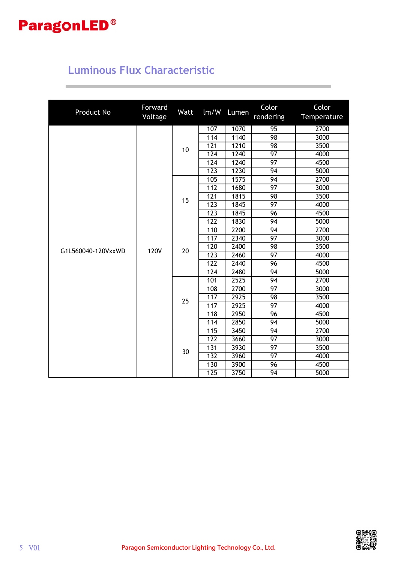## **Luminous Flux Characteristic**

| Product No         | Forward<br>Voltage | Watt | lm/W             | Lumen             | Color<br>rendering | Color<br>Temperature |      |    |  |     |      |
|--------------------|--------------------|------|------------------|-------------------|--------------------|----------------------|------|----|--|-----|------|
|                    |                    |      | 107              | 1070              | 95                 | 2700                 |      |    |  |     |      |
|                    |                    |      | 114              | 1140              | 98                 | 3000                 |      |    |  |     |      |
|                    |                    |      | 121              | $\overline{1210}$ | 98                 | 3500                 |      |    |  |     |      |
|                    |                    | 10   | 124              | 1240              | 97                 | 4000                 |      |    |  |     |      |
|                    |                    |      | 124              | 1240              | 97                 | 4500                 |      |    |  |     |      |
|                    |                    |      | 123              | 1230              | 94                 | 5000                 |      |    |  |     |      |
|                    |                    |      | 105              | 1575              | 94                 | 2700                 |      |    |  |     |      |
|                    |                    |      | 112              | 1680              | $\overline{97}$    | 3000                 |      |    |  |     |      |
|                    |                    |      | 121              | 1815              | 98                 | 3500                 |      |    |  |     |      |
|                    |                    | 15   | 123              | 1845              | 97                 | 4000                 |      |    |  |     |      |
|                    |                    |      | 123              | 1845              | 96                 | 4500                 |      |    |  |     |      |
|                    |                    |      | 122              | 1830              | 94                 | 5000                 |      |    |  |     |      |
|                    |                    |      | 110              | 2200              | $\overline{94}$    | 2700                 |      |    |  |     |      |
|                    | <b>120V</b>        |      |                  | 117               | 2340               | 97                   | 3000 |    |  |     |      |
| G1L560040-120VxxWD |                    |      |                  | 120               | 2400               | 98                   | 3500 |    |  |     |      |
|                    |                    |      |                  |                   |                    |                      |      | 20 |  | 123 | 2460 |
|                    |                    |      | 122              | 2440              | 96                 | 4500                 |      |    |  |     |      |
|                    |                    |      | 124              | 2480              | $\overline{94}$    | 5000                 |      |    |  |     |      |
|                    |                    |      | 101              | 2525              | 94                 | 2700                 |      |    |  |     |      |
|                    |                    |      | 108              | 2700              | 97                 | 3000                 |      |    |  |     |      |
|                    |                    |      | 117              | 2925              | 98                 | 3500                 |      |    |  |     |      |
|                    |                    | 25   | 117              | 2925              | 97                 | 4000                 |      |    |  |     |      |
|                    |                    |      | 118              | 2950              | 96                 | 4500                 |      |    |  |     |      |
|                    |                    |      | 114              | 2850              | $\overline{94}$    | 5000                 |      |    |  |     |      |
|                    |                    |      | 115              | 3450              | 94                 | 2700                 |      |    |  |     |      |
|                    |                    |      | $\overline{122}$ | 3660              | $\overline{97}$    | 3000                 |      |    |  |     |      |
|                    |                    | 30   | 131              | 3930              | 97                 | 3500                 |      |    |  |     |      |
|                    |                    |      | 132              | 3960              | 97                 | 4000<br>4500<br>5000 |      |    |  |     |      |
|                    |                    |      | 130              | 3900              | 96                 |                      |      |    |  |     |      |
|                    |                    |      | 125              | 3750              | 94                 |                      |      |    |  |     |      |

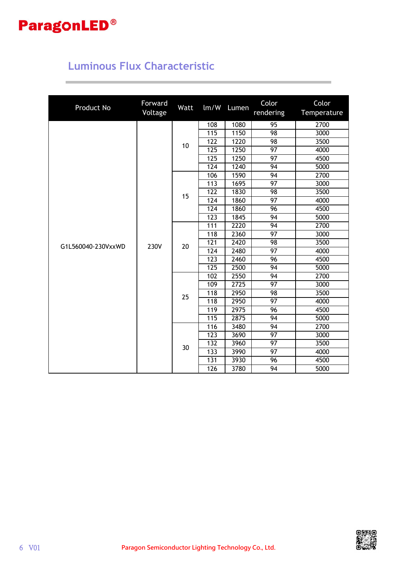

## **Luminous Flux Characteristic**

| Product No         | Forward<br>Voltage | Watt | $\text{Im}/\text{W}$ | Lumen | Color<br>rendering | Color<br>Temperature |      |    |
|--------------------|--------------------|------|----------------------|-------|--------------------|----------------------|------|----|
|                    |                    |      | 108                  | 1080  | 95                 | 2700                 |      |    |
|                    |                    |      | 115                  | 1150  | 98                 | 3000                 |      |    |
|                    |                    | 10   | 122                  | 1220  | 98                 | 3500                 |      |    |
|                    |                    |      | 125                  | 1250  | 97                 | 4000                 |      |    |
|                    |                    |      | $\overline{125}$     | 1250  | $\overline{97}$    | 4500                 |      |    |
|                    |                    |      | 124                  | 1240  | 94                 | 5000                 |      |    |
|                    |                    |      | 106                  | 1590  | $\overline{94}$    | 2700                 |      |    |
|                    |                    |      | 113                  | 1695  | $\overline{97}$    | 3000                 |      |    |
|                    |                    | 15   | 122                  | 1830  | 98                 | 3500                 |      |    |
|                    |                    |      | 124                  | 1860  | 97                 | 4000                 |      |    |
|                    |                    |      | 124                  | 1860  | 96                 | 4500                 |      |    |
|                    |                    |      | 123                  | 1845  | 94                 | 5000                 |      |    |
|                    |                    |      | $\overline{111}$     | 2220  | 94                 | 2700                 |      |    |
|                    | 230V               |      |                      | 118   | 2360               | $\overline{97}$      | 3000 |    |
| G1L560040-230VxxWD |                    |      |                      |       | 20                 | 121                  | 2420 | 98 |
|                    |                    |      | 124                  | 2480  | 97                 | 4000                 |      |    |
|                    |                    |      | 123                  | 2460  | 96                 | 4500                 |      |    |
|                    |                    |      | $\overline{125}$     | 2500  | $\overline{94}$    | 5000                 |      |    |
|                    |                    |      | 102                  | 2550  | 94                 | 2700                 |      |    |
|                    |                    |      | 109                  | 2725  | $\overline{97}$    | 3000                 |      |    |
|                    |                    | 25   | 118                  | 2950  | $\overline{98}$    | 3500                 |      |    |
|                    |                    |      | 118                  | 2950  | $\overline{97}$    | 4000                 |      |    |
|                    |                    |      | 119                  | 2975  | 96                 | 4500                 |      |    |
|                    |                    |      | 115                  | 2875  | $\overline{94}$    | 5000                 |      |    |
|                    |                    |      | 116                  | 3480  | 94                 | 2700                 |      |    |
|                    |                    |      | $\overline{123}$     | 3690  | $\overline{97}$    | 3000                 |      |    |
|                    |                    | 30   | 132                  | 3960  | $\overline{97}$    | 3500                 |      |    |
|                    |                    |      | 133                  | 3990  | 97                 | 4000                 |      |    |
|                    |                    |      | 131                  | 3930  | 96                 | 4500                 |      |    |
|                    |                    | 126  | 3780                 | 94    | 5000               |                      |      |    |

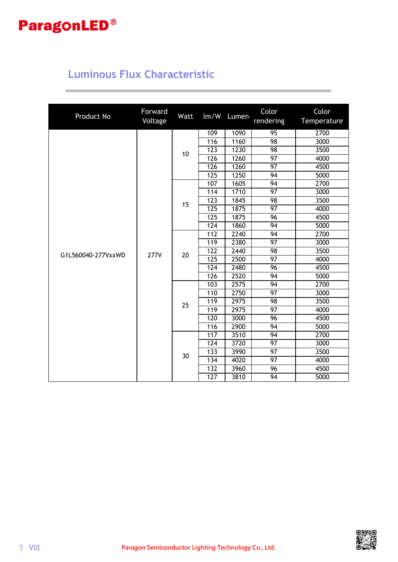## **Luminous Flux Characteristic**

| Product No         | Forward<br>Voltage | Watt | lm/W             | Lumen           | Color<br>rendering | Color<br>Temperature |
|--------------------|--------------------|------|------------------|-----------------|--------------------|----------------------|
|                    |                    |      | 109              | 1090            | 95                 | 2700                 |
|                    |                    |      | 116              | 1160            | 98                 | 3000                 |
|                    |                    |      | 123              | 1230            | 98                 | 3500                 |
|                    |                    | 10   | 126              | 1260            | 97                 | 4000                 |
|                    |                    |      | 126              | 1260            | 97                 | 4500                 |
|                    |                    |      | 125              | 1250            | 94                 | 5000                 |
|                    |                    |      | 107              | 1605            | 94                 | 2700                 |
|                    |                    |      | 114              | 1710            | $\overline{97}$    | 3000                 |
|                    |                    |      | 123              | 1845            | 98                 | 3500                 |
|                    |                    | 15   | 125              | 1875            | $\overline{97}$    | 4000                 |
|                    |                    |      | 125              | 1875            | $\overline{96}$    | 4500                 |
|                    |                    |      | 124              | 1860            | $\overline{94}$    | 5000                 |
|                    |                    |      | 112              | 2240            | 94                 | 2700                 |
|                    |                    |      | 119              | 2380            | $\overline{97}$    | 3000                 |
|                    |                    | 20   | $\overline{122}$ | 2440            | $\overline{98}$    | 3500                 |
| G1L560040-277VxxWD | <b>277V</b>        |      | 125              | 2500            | 97                 | 4000                 |
|                    |                    |      | 124              | 2480            | 96                 | 4500                 |
|                    |                    |      | 126              | 2520            | 94                 | 5000                 |
|                    |                    |      | 103              | 2575            | 94                 | 2700                 |
|                    |                    |      | 110              | 2750            | 97                 | 3000                 |
|                    |                    |      | 119              | 2975            | 98                 | 3500                 |
|                    |                    | 25   | 119              | 2975            | $\overline{97}$    | 4000                 |
|                    |                    |      | 120              | 3000            | 96                 | 4500                 |
|                    |                    |      | 116              | 2900            | 94                 | 5000                 |
|                    |                    |      | 117              | 3510            | $\overline{94}$    | 2700                 |
|                    |                    |      | 124              | 3720            | 97                 | 3000                 |
|                    |                    | 30   | 133              | 3990            | 97                 | 3500                 |
|                    |                    |      | 134              | 4020            | $\overline{97}$    | 4000                 |
|                    |                    |      | 132              | 3960            | 96                 | 4500<br>5000         |
|                    |                    | 127  | 3810             | $\overline{94}$ |                    |                      |

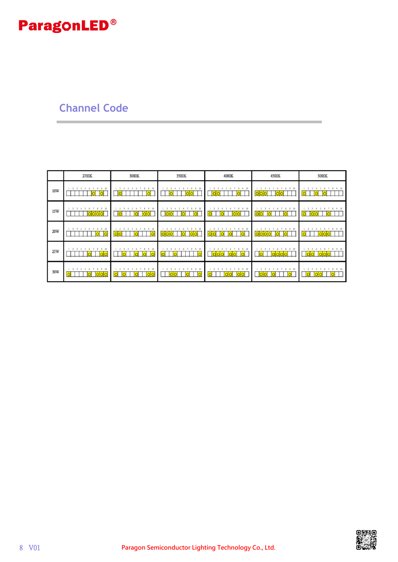### **Channel Code**

|            | 2700K                                      | 3000K                      | 3500K                              | 4000K              | 4500K                       | 5000K        |
|------------|--------------------------------------------|----------------------------|------------------------------------|--------------------|-----------------------------|--------------|
| 10W        | 2 <sup>3</sup><br>910<br>8                 | 7 8 9 10<br>$\mathcal{A}$  | 8 9 10<br>$\overline{2}$           | 8 9 10             | 8 9 10<br>ol                | 8 9 10       |
| <b>15W</b> | 910<br>2 <sup>3</sup><br>O<br>O            | 8 9 10<br>6                | 8 9 10<br>$\ddot{\sigma}$<br>O     | 7 8 9 10           | 7 8 9 10<br>ol<br>$\Omega$  | 8 9 10<br> 0 |
| <b>20W</b> | 2 <sup>3</sup><br>10<br>$\circ$<br>ΙO<br>O | 10<br>$\mathcal{Q}$<br>olc | 10<br>$\circ$<br>Οl<br>Ю<br>O<br>O | 9:10               | 8 9 10<br>ololol<br>lO<br>O | $9-10$       |
| 25W        | 10<br>۰<br> 0 0                            | 10<br>9                    | 9:10                               | 9.10               | 9:10<br>8                   | $9 - 10$     |
| 30W        | 910<br>$\Omega$<br>olc<br>$\Omega$         | 8 9 10                     | 8 9 10<br>$\overline{0}$           | 8 9 10<br>$\Omega$ | 8 9 10<br>O                 | 8 9 10       |

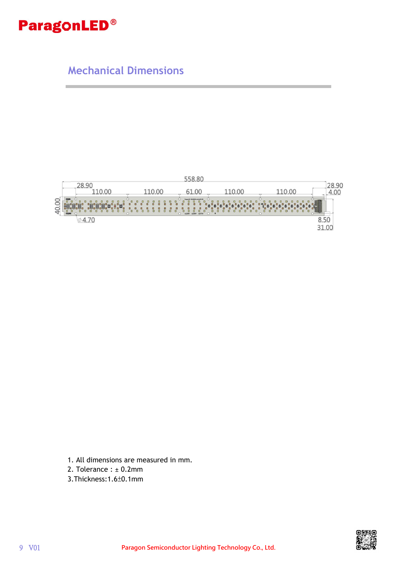**Mechanical Dimensions**



- 1. All dimensions are measured in mm.
- 2. Tolerance : ± 0.2mm
- 3.Thickness:1.6±0.1mm

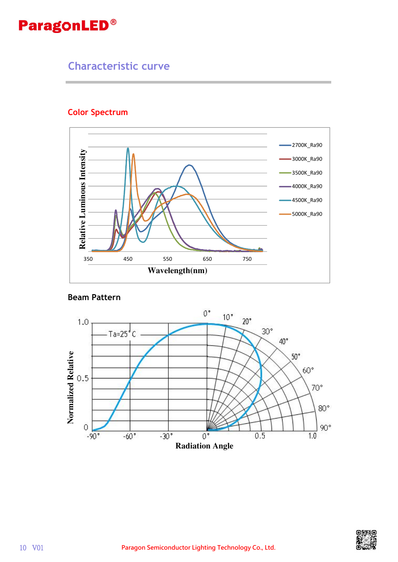### **Characteristic curve**

#### **Color Spectrum**



#### **Beam Pattern**



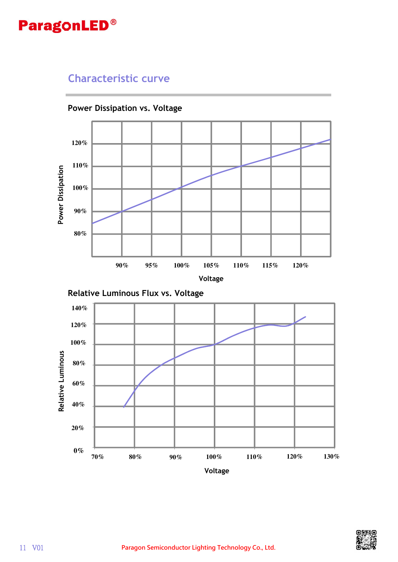### **Characteristic curve**



**Power Dissipation vs. Voltage**



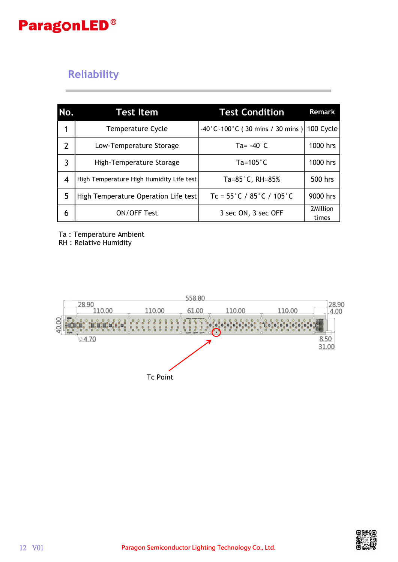## **Reliability**

| No.            | <b>Test Item</b>                         | <b>Test Condition</b>                                   | <b>Remark</b>     |
|----------------|------------------------------------------|---------------------------------------------------------|-------------------|
|                | <b>Temperature Cycle</b>                 | $-40^{\circ}$ C ~ 100 $^{\circ}$ C (30 mins / 30 mins ) | 100 Cycle         |
| $\overline{2}$ | Low-Temperature Storage                  | Ta= $-40^{\circ}$ C                                     | 1000 hrs          |
| 3              | High-Temperature Storage                 | Ta=105 $^{\circ}$ C                                     | 1000 hrs          |
| 4              | High Temperature High Humidity Life test | Ta= $85^{\circ}$ C, RH= $85\%$                          | 500 hrs           |
| 5              | High Temperature Operation Life test     | Tc = $55^{\circ}$ C / $85^{\circ}$ C / 105 $^{\circ}$ C | 9000 hrs          |
| 6              | <b>ON/OFF Test</b>                       | 3 sec ON, 3 sec OFF                                     | 2Million<br>times |

Ta : Temperature Ambient

RH : Relative Humidity



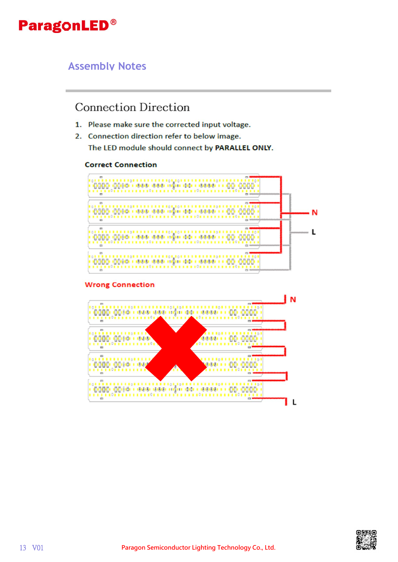#### **Assembly Notes**

### **Connection Direction**

- 1. Please make sure the corrected input voltage.
- 2. Connection direction refer to below image. The LED module should connect by PARALLEL ONLY.

#### **Correct Connection**



#### **Wrong Connection**



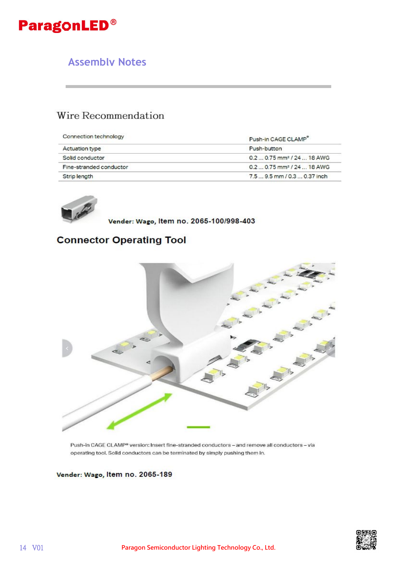### **Assembly Notes**

### Wire Recommendation

| Connection technology   | Push-in CAGE CLAMP                     |
|-------------------------|----------------------------------------|
| <b>Actuation type</b>   | Push-button                            |
| Solid conductor         | $0.20.75$ mm <sup>2</sup> / 24  18 AWG |
| Fine-stranded conductor | $0.20.75$ mm <sup>2</sup> / 24  18 AWG |
| Strip length            | $7.59.5$ mm $/0.30.37$ inch            |



Vender: Wago, Item no. 2065-100/998-403

#### **Connector Operating Tool**



Push-in CAGE CLAMP<sup>®</sup> version: Insert fine-stranded conductors - and remove all conductors - via operating tool. Solid conductors can be terminated by simply pushing them in.

Vender: Wago, Item no. 2065-189